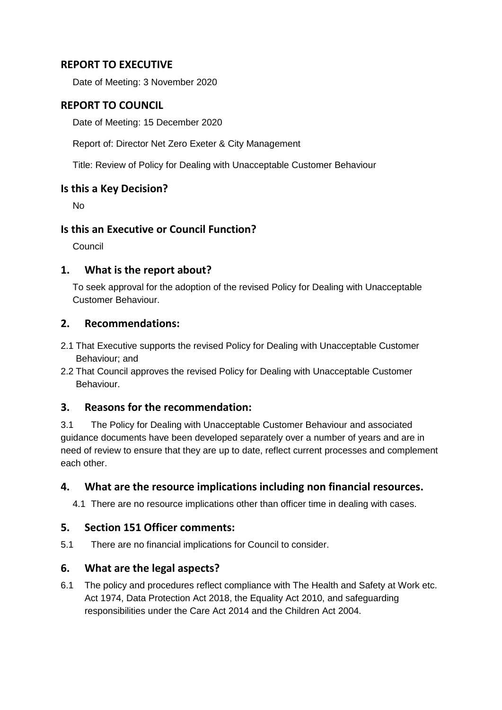## **REPORT TO EXECUTIVE**

Date of Meeting: 3 November 2020

## **REPORT TO COUNCIL**

Date of Meeting: 15 December 2020

Report of: Director Net Zero Exeter & City Management

Title: Review of Policy for Dealing with Unacceptable Customer Behaviour

#### **Is this a Key Decision?**

No

### **Is this an Executive or Council Function?**

Council

#### **1. What is the report about?**

To seek approval for the adoption of the revised Policy for Dealing with Unacceptable Customer Behaviour.

#### **2. Recommendations:**

- 2.1 That Executive supports the revised Policy for Dealing with Unacceptable Customer Behaviour; and
- 2.2 That Council approves the revised Policy for Dealing with Unacceptable Customer Behaviour.

### **3. Reasons for the recommendation:**

3.1 The Policy for Dealing with Unacceptable Customer Behaviour and associated guidance documents have been developed separately over a number of years and are in need of review to ensure that they are up to date, reflect current processes and complement each other.

### **4. What are the resource implications including non financial resources.**

4.1 There are no resource implications other than officer time in dealing with cases.

### **5. Section 151 Officer comments:**

5.1 There are no financial implications for Council to consider.

### **6. What are the legal aspects?**

6.1 The policy and procedures reflect compliance with The Health and Safety at Work etc. Act 1974, Data Protection Act 2018, the Equality Act 2010, and safeguarding responsibilities under the Care Act 2014 and the Children Act 2004.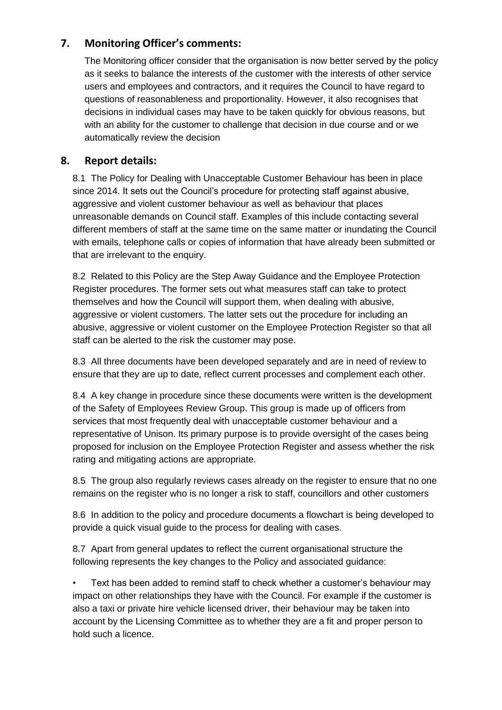# **7. Monitoring Officer's comments:**

The Monitoring officer consider that the organisation is now better served by the policy as it seeks to balance the interests of the customer with the interests of other service users and employees and contractors, and it requires the Council to have regard to questions of reasonableness and proportionality. However, it also recognises that decisions in individual cases may have to be taken quickly for obvious reasons, but with an ability for the customer to challenge that decision in due course and or we automatically review the decision

## **8. Report details:**

8.1 The Policy for Dealing with Unacceptable Customer Behaviour has been in place since 2014. It sets out the Council's procedure for protecting staff against abusive, aggressive and violent customer behaviour as well as behaviour that places unreasonable demands on Council staff. Examples of this include contacting several different members of staff at the same time on the same matter or inundating the Council with emails, telephone calls or copies of information that have already been submitted or that are irrelevant to the enquiry.

8.2 Related to this Policy are the Step Away Guidance and the Employee Protection Register procedures. The former sets out what measures staff can take to protect themselves and how the Council will support them, when dealing with abusive, aggressive or violent customers. The latter sets out the procedure for including an abusive, aggressive or violent customer on the Employee Protection Register so that all staff can be alerted to the risk the customer may pose.

8.3 All three documents have been developed separately and are in need of review to ensure that they are up to date, reflect current processes and complement each other.

8.4 A key change in procedure since these documents were written is the development of the Safety of Employees Review Group. This group is made up of officers from services that most frequently deal with unacceptable customer behaviour and a representative of Unison. Its primary purpose is to provide oversight of the cases being proposed for inclusion on the Employee Protection Register and assess whether the risk rating and mitigating actions are appropriate.

8.5 The group also regularly reviews cases already on the register to ensure that no one remains on the register who is no longer a risk to staff, councillors and other customers

8.6 In addition to the policy and procedure documents a flowchart is being developed to provide a quick visual guide to the process for dealing with cases.

8.7 Apart from general updates to reflect the current organisational structure the following represents the key changes to the Policy and associated guidance:

• Text has been added to remind staff to check whether a customer's behaviour may impact on other relationships they have with the Council. For example if the customer is also a taxi or private hire vehicle licensed driver, their behaviour may be taken into account by the Licensing Committee as to whether they are a fit and proper person to hold such a licence.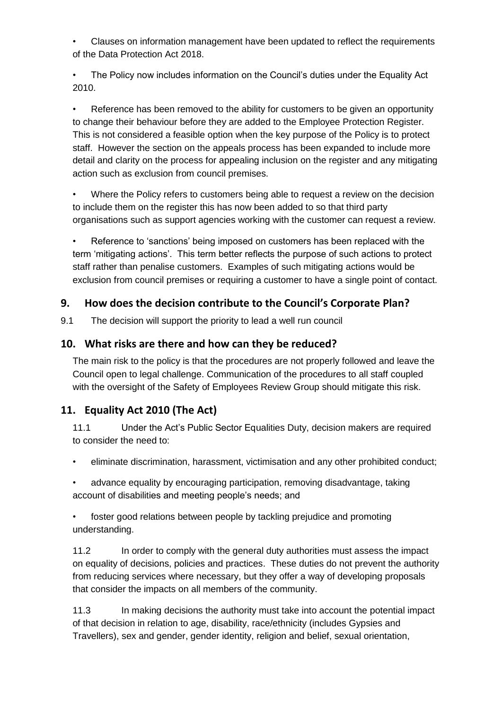• Clauses on information management have been updated to reflect the requirements of the Data Protection Act 2018.

The Policy now includes information on the Council's duties under the Equality Act 2010.

• Reference has been removed to the ability for customers to be given an opportunity to change their behaviour before they are added to the Employee Protection Register. This is not considered a feasible option when the key purpose of the Policy is to protect staff. However the section on the appeals process has been expanded to include more detail and clarity on the process for appealing inclusion on the register and any mitigating action such as exclusion from council premises.

• Where the Policy refers to customers being able to request a review on the decision to include them on the register this has now been added to so that third party organisations such as support agencies working with the customer can request a review.

Reference to 'sanctions' being imposed on customers has been replaced with the term 'mitigating actions'. This term better reflects the purpose of such actions to protect staff rather than penalise customers. Examples of such mitigating actions would be exclusion from council premises or requiring a customer to have a single point of contact.

# **9. How does the decision contribute to the Council's Corporate Plan?**

9.1 The decision will support the priority to lead a well run council

# **10. What risks are there and how can they be reduced?**

The main risk to the policy is that the procedures are not properly followed and leave the Council open to legal challenge. Communication of the procedures to all staff coupled with the oversight of the Safety of Employees Review Group should mitigate this risk.

# **11. Equality Act 2010 (The Act)**

11.1 Under the Act's Public Sector Equalities Duty, decision makers are required to consider the need to:

- eliminate discrimination, harassment, victimisation and any other prohibited conduct;
- advance equality by encouraging participation, removing disadvantage, taking account of disabilities and meeting people's needs; and

• foster good relations between people by tackling prejudice and promoting understanding.

11.2 In order to comply with the general duty authorities must assess the impact on equality of decisions, policies and practices. These duties do not prevent the authority from reducing services where necessary, but they offer a way of developing proposals that consider the impacts on all members of the community.

11.3 In making decisions the authority must take into account the potential impact of that decision in relation to age, disability, race/ethnicity (includes Gypsies and Travellers), sex and gender, gender identity, religion and belief, sexual orientation,